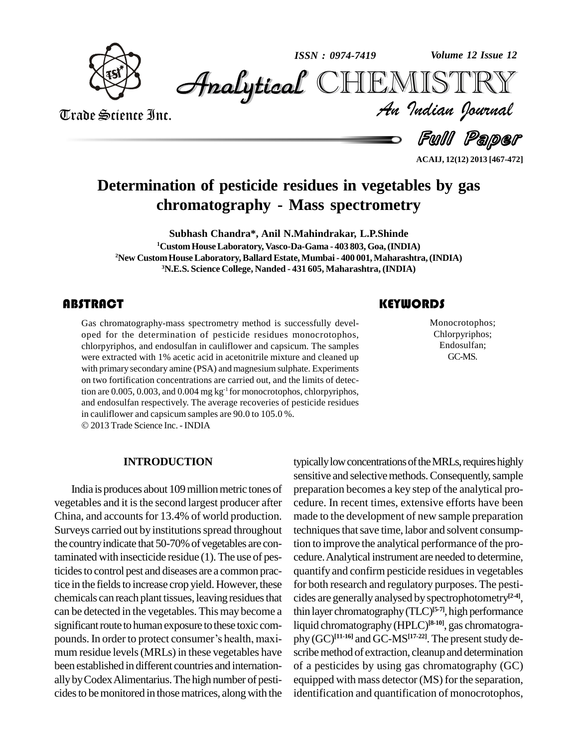

*Volume 12 Issue 12*



Trade Science Inc. Trade Science Inc. *Volume 12 Issue 12*<br>IISTRY<br>*Indian Iournal* 

Full Paper

**ACAIJ, 12(12) 2013 [467-472]**

## **Determination of pesticide residues in vegetables by gas chromatography - Mass spectrometry**

**Subhash Chandra\*, Anil N.Mahindrakar, L.P.Shinde CustomHouseLaboratory,Vasco-Da-Gama - 403 803,Goa,(INDIA) New CustomHouseLaboratory,BallardEstate,Mumbai- 400 001,Maharashtra,(INDIA) N.E.S. Science College, Nanded - 431 605, Maharashtra, (INDIA)**

Gas chromatography-m<br>oped for the determin<br>chlorpyriphos, and endo Gas chromatography-mass spectrometry method is successfully devel oped for the determination of pesticide residues monocrotophos, chlorpyriphos, and endosulfan in cauliflower and capsicum. The samples were extracted with 1% acetic acid in acetonitrile mixture and cleaned up with primary secondary amine (PSA) and magnesium sulphate. Experiments on two fortification concentrations are carried out, and the limits of detection are 0.005, 0.003, and 0.004 mg kg<sup>-1</sup> for monocrotophos, chlorpyriphos, and endosulfan respectively. The average recoveries of pesticide residues in cauliflower and capsicum samples are 90.0 to 105.0 %.

2013Trade Science Inc. -INDIA

#### **INTRODUCTION**

India is produces about 109 million metric tones of vegetables and it isthe second largest producer after China, and accounts for 13.4% of world production. Surveys carried out by institutions spread throughout the country indicate that 50-70% of vegetables are contaminated with insecticide residue (1).The use of pesticides to control pest and diseases are a common practice in the fields to increase crop yield. However, these chemicals can reach plant tissues, leaving residues that can be detected in the vegetables. Thismay become a significant route to human exposure to these toxic com- liqu can be detected in the vegetables. This may become a thin<br>significant route to human exposure to these toxic com-<br>pounds. In order to protect consumer's health, maximum residue levels(MRLs) in these vegetables have been established in different countries and internation allybyCodexAlimentarius.The high number of pesti cides to be monitored in those matrices, along with the

## **KEYWORDS**

Monocrotophe<br>Chlorpyripho<br>Endosulfan Monocrotophos; Chlorpyriphos; Endosulfan; GC-MS.

typically low concentrations of the MRLs, requires highly sensitive and selective methods. Consequently, sample preparation becomes a key step of the analytical pro cedure. In recent times, extensive efforts have been made to the development of new sample preparation techniques that save time, labor and solvent consumption to improve the analytical performance of the procedure.Analytical instrument are needed to determine, quantify and confirm pesticide residuesin vegetables for both research and regulatory purposes. The pesti cides are generallyanalysed byspectrophotometry **[2-4]**, thin layer chromatography (TLC)<sup>[5-7]</sup>, high performance liquid chromatography(HPLC) **[8-10]**, gas chromatogra phy (GC)<sup>[11-16]</sup> and GC-MS<sup>[17-22]</sup>. The present study describe method of extraction, cleanup and determination of a pesticides by using gas chromatography (GC) equipped with mass detector (MS) for the separation, identification and quantification of monocrotophos,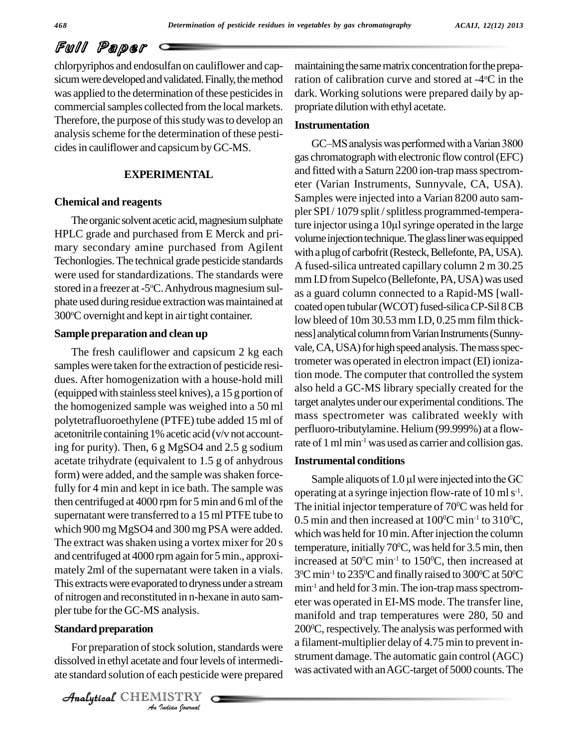chlorpyriphos and endosulfan on cauliflower and cap sicum were developed and validated. Finally, the method was applied to the determination of these pesticides in commercial samples collected from the local markets. Therefore, the purpose of this study was to develop an analysis scheme for the determination of these pesticides in cauliflower and capsicum by GC-MS.

#### **EXPERIMENTAL**

#### **Chemical and reagents**

HPLC grade and purchased from E Merck and pri mary secondary amine purchased from Agilent Techonlogies.The technical grade pesticide standards were used for standardizations. The standards were stored in a freezer at -5 $\rm ^{\circ}C$ . Anhydrous magnesium sulphate used during residue extraction was maintained at 300°C overnight and kept in air tight container.

#### **Sample preparation and clean up**

The fresh cauliflower and capsicum 2 kg each samples were taken for the extraction of pesticide residues. After homogenization with a house-hold mill (equippedwith stainlesssteel knives), a 15 g portion of the homogenized sample was weighed into a 50 ml polytetrafluoroethylene (PTFE) tube added 15 ml of acetonitrile containing 1% acetic acid (v/v not accounting for purity). Then, 6 g MgSO4 and 2.5 g sodium acetate trihydrate (equivalent to 1.5 g of anhydrous form) were added, and the sample was shaken forcefully for 4 min and kept in ice bath. The sample was then centrifuged at  $4000$  rpm for 5 min and 6 ml of the supernatant were transferred to a 15 ml PTFE tube to which 900 mg MgSO4 and 300 mg PSA were added. The extract was shaken using a vortex mixer for 20 s and centrifuged at 4000 rpmagain for5min., approxi mately 2ml of the supernatant were taken in a vials. This extractswere evaporated to drynessunder a stream of nitrogen and reconstituted in n-hexane in auto sam pler tube for the GC-MS analysis.

### *An*Analytical**Standard preparation**

*Indian*<br> **I**ndian pesticid<br> **IISTRY** For preparation of stock solution, standards were dissolved in ethyl acetate and four levels of intermediate standard solution of each pesticide were prepared

CHEMISTRY COMMENT

maintaining the same matrix concentration for the preparation of calibration curve and stored at  $-4$ <sup>o</sup>C in the dark. Working solutions were prepared daily by ap propriate dilution with ethyl acetate.

#### **Instrumentation**

The organic solvent acetic acid, magnesium sulphate<br>ture injector using a 10µl syringe operated in the large GC–MS analysis was performed with a Varian 3800 gas chromatograph with electronic flow control (EFC) and fitted with a Saturn 2200 ion-trap mass spectrometer (Varian Instruments, Sunnyvale, CA, USA). Samples were injected into a Varian 8200 auto sam-<br>pler SPI / 1079 split / splitless programmed-tempera-<br>ture injector using a 10µl syringe operated in the large pler SPI/1079 split/splitless programmed-temperavolume injection technique. The glass liner was equipped with a plug of carbofrit (Resteck, Bellefonte, PA, USA). A fused-silica untreated capillary column 2 m 30.25 mm I.D from Supelco (Bellefonte, PA, USA) was used as a guard column connected to a Rapid-MS [wall coated open tubular (WCOT) fused-silica CP-Sil 8 CB low bleed of 10m 30.53 mm I.D, 0.25 mm film thickness] analytical column from Varian Instruments (Sunnyvale, CA, USA) for high speed analysis. The mass spectrometer was operated in electron impact(EI) ionization mode. The computer that controlled the system also held a GC-MS library specially created for the target analytes under our experimental conditions.The mass spectrometer was calibrated weekly with perfluoro-tributylamine. Helium(99.999%) at a flowrate of 1 ml min<sup>-1</sup> was used as carrier and collision gas.

#### **Instrumental conditions**

Sample aliquots of  $1.0 \mu$ l were injected into the GC operating at a syringe injection flow-rate of  $10 \,\mathrm{ml\,s\textsuperscript{-1}}$ . The initial injector temperature of  $70^{\circ}$ C was held for  $0.5$  min and then increased at  $100^{\rm oC}\,$  min<sup>-1</sup> to  $310^{\rm oC}$ , which was held for 10 min. After injection the column temperature, initially 70 <sup>0</sup>C, was held for 3.5 min, then increased at  $50^{\circ}$ C min<sup>-1</sup> to 150 $^{\circ}$ C, then increased at  $3^{\rm o}{\rm C}$  min<sup>-1</sup> to 235 $^{\rm o}{\rm C}$  and finally raised to 300 $^{\rm o}{\rm C}$  at 50 $^{\rm o}{\rm C}$ min -1 and held for3 min.The ion-trapmassspectrom eter was operated in EI-MS mode. The transfer line, manifold and trap temperatures were 280, 50 and 200 <sup>0</sup>C,respectively.The analysis was performed with a filament-multiplier delay of 4.75 min to prevent in strument damage. The automatic gain control (AGC) was activated with an AGC-target of 5000 counts. The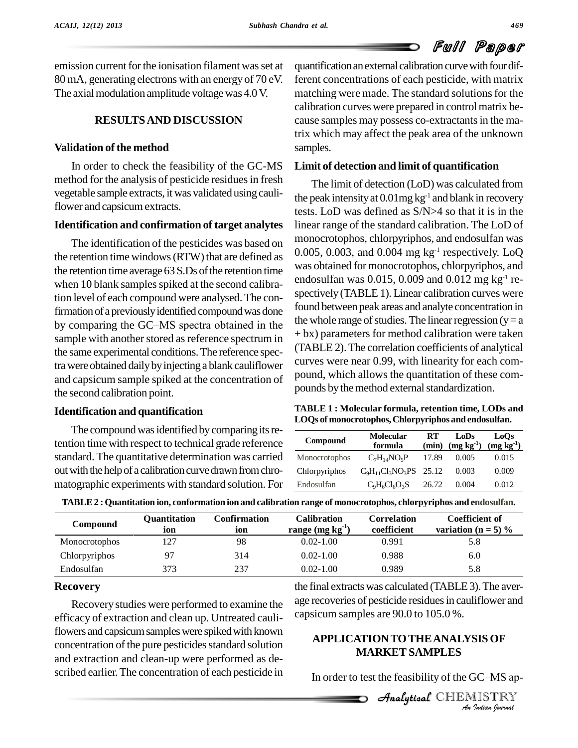emission current for the ionisation filament was set at 80 mA, generating electrons with an energy of 70 eV. The axial modulation amplitude voltage was 4.0 V.

#### **RESULTSAND DISCUSSION**

#### **Validation of the method**

In order to check the feasibility of the GC-MS method for the analysis of pesticide residues in fresh vegetable sample extracts, itwas validated using cauliflower and capsicumextracts.

#### **Identification and confirmation of target analytes**

The identification of the pesticides was based on the retention time windows (RTW) that are defined as the retention time average  $63$  S.Ds of the retention time when 10 blank samples spiked at the second calibration level of each compound were analysed. The confirmation of a previously identified compound was done tion level of each compound were analysed. The con-<br>firmation of a previously identified compound was done<br>by comparing the GC–MS spectra obtained in the sample with another stored as reference spectrum in the same experimental conditions.The reference spectra were obtained daily by injecting a blank cauliflower and capsicum sample spiked at the concentration of the second calibration point.

#### **Identification and quantification**

The compound was identified by comparing its retention time with respect to technical grade reference standard. The quantitative determination was carried out with the help of a calibration curve drawn from chromatographic experiments with standard solution. For quantification an external calibration curve with four different concentrations of each pesticide, with matrix matching were made. The standard solutions for the calibration curves were prepared in controlmatrix be cause samples may possess co-extractants in the matrix which may affect the peak area of the unknown samples.

#### **Limit of detection and limit of quantification**

The limit of detection (LoD) was calculated from the peak intensity at 0.01mg kg<sup>-1</sup> and blank in recovery tests. LoD was defined as S/N>4 so that it is in the linear range of the standard calibration. The LoD of monocrotophos, chlorpyriphos, and endosulfan was  $0.005$ ,  $0.003$ , and  $0.004$  mg kg<sup>-1</sup> respectively. LoQ was obtained for monocrotophos, chlorpyriphos, and endosulfan was 0.015, 0.009 and 0.012 mg kg -1 re spectively (TABLE 1). Linear calibration curves were found between peak areas and analyte concentration in the whole range of studies. The linear regression ( $y = a$ ) + bx) parameters for method calibration were taken (TABLE 2).The correlation coefficients of analytical curves were near 0.99, with linearity for each com pound, which allows the quantitation of these com pounds by the method external standardization.

| TABLE 1: Molecular formula, retention time, LODs and |
|------------------------------------------------------|
| LOQs of monocrotophos, Chlorpyriphos and endosulfan. |

| Compound      | <b>Molecular</b><br>formula | RT<br>(min) | LoDs<br>$(mg kg-1)$ | LoOs<br>$(mg kg-1)$ |
|---------------|-----------------------------|-------------|---------------------|---------------------|
| Monocrotophos | $C_7H_{14}NO_5P$            | 17.89       | 0.005               | 0.015               |
| Chlorpyriphos | $C_9H_{11}Cl_3NO_3PS$ 25.12 |             | 0.003               | 0.009               |
| Endosulfan    | $C_9H_6Cl_6O_3S$            | 26.72       | 0.004               | 0.012               |

| Compound      | Ouantitation<br>ion | Confirmation<br>ion | Calibration<br>range $(mg kg-1)$ | Correlation<br>coefficient | <b>Coefficient of</b><br>variation ( $n = 5$ ) % |
|---------------|---------------------|---------------------|----------------------------------|----------------------------|--------------------------------------------------|
| Monocrotophos | 127                 | 98                  | $0.02 - 1.00$                    | 0.991                      | 5.8                                              |
| Chlorpyriphos | 97                  | 314                 | $0.02 - 1.00$                    | 0.988                      | 6.0                                              |
| Endosulfan    | 373                 | 237                 | $0.02 - 1.00$                    | 0.989                      | 5.8                                              |

**TABLE2 : Quantitation ion, conformation ion and calibration range of monocrotophos, chlorpyriphos and endosulfan.**

#### **Recovery**

Recovery studies were performed to examine the efficacy of extraction and clean up. Untreated cauliflowers and capsicum samples were spiked with known concentration of the pure pesticides standard solution and extraction and clean-up were performed as de scribed earlier.The concentration of each pesticide in the final extracts was calculated (TABLE 3). The average recoveries of pesticide residues in cauliflower and capsicum samples are 90.0 to 105.0 %.

# **IS OF<br><sup>IC–MS ap-<br>IISTRY**<br>*Indian Iournal*</sup> Analytical**APPLICATIONTOTHEANALYSIS OF MARKET SAMPLES**

In order to test the feasibility of the GC–MS ap-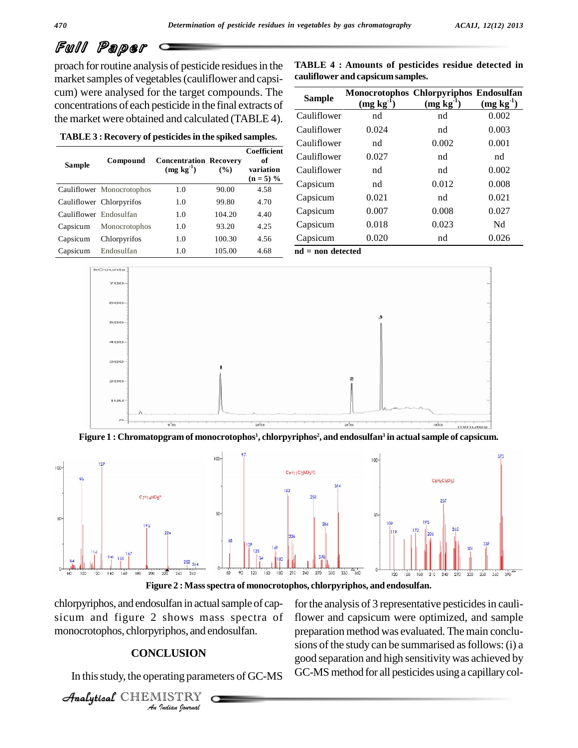proach for routine analysis of pesticide residues in the market samples of vegetables (cauliflower and capsicum) were analysed for the target compounds. The concentrations of each pesticide in the final extracts of the market were obtained and calculated (TABLE 4).

**TABLE 3 : Recovery of pesticidesin the spiked samples.**

| Sample                 | Compound                  | <b>Concentration Recovery</b><br>$(mg kg-1)$ | $($ %) | Coefficient<br>оf<br>variation<br>$(n = 5) \%$ |  |
|------------------------|---------------------------|----------------------------------------------|--------|------------------------------------------------|--|
|                        | Cauliflower Monocrotophos | 1.0                                          | 90.00  | 4.58                                           |  |
|                        | Cauliflower Chlorpyrifos  | 1.0                                          | 99.80  | 4.70                                           |  |
| Cauliflower Endosulfan |                           | 1.0                                          | 104.20 | 4.40                                           |  |
| Capsicum               | Monocrotophos             | 1.0                                          | 93.20  | 4.25                                           |  |
| Capsicum               | Chlorpyrifos              | 1.0                                          | 100.30 | 4.56                                           |  |
| Capsicum               | Endosulfan                | 1.0                                          | 105.00 | 4.68                                           |  |

| <b>TABLE 4 : Amounts of pesticides residue detected in</b> |  |
|------------------------------------------------------------|--|
| cauliflower and capsicum samples.                          |  |

| ds. The             | <b>Sample</b>       | Monocrotophos Chlorpyriphos Endosulfan |             |             |
|---------------------|---------------------|----------------------------------------|-------------|-------------|
| tracts of           |                     | $(mg kg-1)$                            | $(mg kg-1)$ | $(mg kg-1)$ |
| BLE 4).             | Cauliflower         | nd                                     | nd          | 0.002       |
|                     | Cauliflower         | 0.024                                  | nd          | 0.003       |
| amples.             | Cauliflower         | nd                                     | 0.002       | 0.001       |
| Coefficient<br>of   | Cauliflower         | 0.027                                  | nd          | nd          |
| variation           | Cauliflower         | nd                                     | nd          | 0.002       |
| $(n = 5) %$<br>4.58 | Capsicum            | nd                                     | 0.012       | 0.008       |
| 4.70                | Capsicum            | 0.021                                  | nd          | 0.021       |
| 4.40                | Capsicum            | 0.007                                  | 0.008       | 0.027       |
| 4.25                | Capsicum            | 0.018                                  | 0.023       | Nd          |
| 4.56                | Capsicum            | 0.020                                  | nd          | 0.026       |
| 4.68                | $nd = non detected$ |                                        |             |             |



Figure  $1$  : Chromatopgram of monocrotophos $^{\rm l}$ , chlorpyriphos $^{\rm 2}$ , and endosulfan $^{\rm 3}$  in actual sample of capsicum.



**Figure 2 : Massspectra of monocrotophos, chlorpyriphos, and endosulfan.**

 $A$ nonocrotophos, chlorpyriphos, and endosulfan. *I*<br>**ILUSION**<br>Tating param<br>IISTRY chlorpyriphos, and endosulfan in actual sample of capsicum and figure 2 shows mass spectra of

#### **CONCLUSION**

In thisstudy, the operating parameters of GC-MS

CHEMISTRY COMMENT

for the analysis of 3 representative pesticides in cauliflower and capsicum were optimized, and sample preparation method was evaluated. The main conclu sions of the study can be summarised as follows: (i) a good separation and high sensitivitywas achieved by GC-MS method for all pesticides using a capillary col-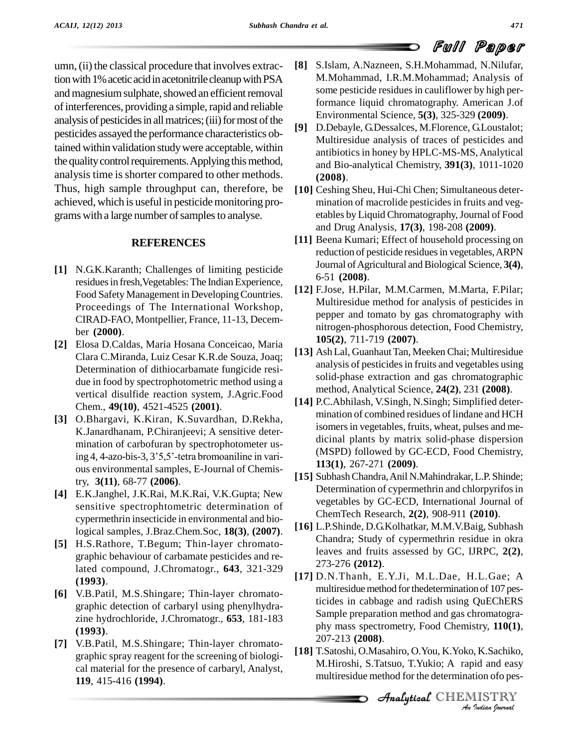umn, (ii) the classical procedure that involves extraction with 1% acetic acid in acetonitrile cleanup with PSA and magnesium sulphate, showed an efficient removal of interferences, providing a simple, rapid and reliable analysis of pesticides in all matrices; (iii) for most of the  $[9]$ pesticides assayed the performance characteristics obtained within validation studywere acceptable, within the quality control requirements. Applying this method, analysis time is shorter compared to other methods. Thus, high sample throughput can, therefore, be achieved, which is useful in pesticide monitoring programs with a large number of samples to analyse.

#### **REFERENCES**

- **[1]** N.G.K.Karanth; Challenges of limiting pesticide residues in fresh, Vegetables: The Indian Experience, Food Safety Management in DevelopingCountries. Proceedings of The International Workshop, CIRAD-FAO, Montpellier, France, 11-13, Decem ber **(2000)**.
- **[2]** Elosa D.Caldas, Maria Hosana Conceicao, Maria Clara C.Miranda, Luiz Cesar K.R.de Souza, Joaq; Determination of dithiocarbamate fungicide resi due in food by spectrophotometric method using a vertical disulfide reaction system, J.Agric.Food Chem., **49(10)**, 4521-4525 **(2001)**.
- **[3]** O.Bhargavi, K.Kiran, K.Suvardhan, D.Rekha, K.Janardhanam, P.Chiranjeevi; A sensitive deter mination of carbofuran by spectrophotometer using 4, 4-azo-bis-3, 3'5,5'-tetra bromoaniline in various environmental samples, E-Journal of Chemistry, **3(11)**, 68-77 **(2006)**.
- **[4]** E.K.Janghel, J.K.Rai, M.K.Rai, V.K.Gupta; New sensitive spectrophtometric determination of cypermethrin insecticide in environmental and biological samples, J.Braz.Chem.Soc, **18(3)**, **(2007)**.
- **[5]** H.S.Rathore, T.Begum; Thin-layer chromato graphic behaviour of carbamate pesticides and related compound, J.Chromatogr., **643**, 321-329 **(1993)**.
- **[6]** V.B.Patil, M.S.Shingare; Thin-layer chromato graphic detection of carbaryl using phenylhydra zine hydrochloride, J.Chromatogr., **653**, 181-183 **(1993)**.
- **[7]** V.B.Patil, M.S.Shingare; Thin-layer chromato graphic spray reagent for the screening of biologi cal material for the presence of carbaryl, Analyst, **119**, 415-416 **(1994)**.
- **[8]** S.Islam, A.Nazneen, S.H.Mohammad, N.Nilufar, M.Mohammad, I.R.M.Mohammad; Analysis of some pesticide residues in cauliflower by high performance liquid chromatography. American J.of Environmental Science, **5(3)**, 325-329 **(2009)**.
- **[9]** D.Debayle, G.Dessalces, M.Florence, G.Loustalot; Multiresidue analysis of traces of pesticides and antibioticsin honey by HPLC-MS-MS,Analytical and Bio-analytical Chemistry, **391(3)**, 1011-1020 **(2008)**.
- **[10]** Ceshing Sheu, Hui-Chi Chen; Simultaneous deter mination of macrolide pesticides in fruits and veg etables by Liquid Chromatography,Journal of Food and Drug Analysis*,* **17(3)**, 198-208 **(2009)**.
- **[11]** Beena Kumari; Effect of household processing on reduction of pesticide residues in vegetables, ARPN Journal of Agricultural and Biological Science, 3(4), 6-51 **(2008)**.
- **[12]** F.Jose, H.Pilar, M.M.Carmen, M.Marta, F.Pilar; Multiresidue method for analysis of pesticides in pepper and tomato by gas chromatography with nitrogen-phosphorous detection, Food Chemistry, **105(2)**, 711-719 **(2007)**.
- [13] Ash Lal, Guanhaut Tan, Meeken Chai; Multiresidue analysis of pesticidesin fruits and vegetables using solid-phase extraction and gas chromatographic method, Analytical Science, **24(2)**, 231 **(2008)**.
- **[14]** P.C.Abhilash, V.Singh, N.Singh; Simplified deter mination of combined residues of lindane and HCH isomers in vegetables, fruits, wheat, pulses and medicinal plants by matrix solid-phase dispersion (MSPD) followed by GC-ECD, Food Chemistry, **113(1)**, 267-271 **(2009)**.
- **[15]** SubhashChandra,Anil N.Mahindrakar,L.P. Shinde; Determination of cypermethrin and chlorpyrifos in vegetables by GC-ECD, International Journal of ChemTech Research, **2(2)**, 908-911 **(2010)**.
- **[16]** L.P.Shinde, D.G.Kolhatkar, M.M.V.Baig, Subhash Chandra; Study of cypermethrin residue in okra leaves and fruits assessed by GC, IJRPC, **2(2)**, 273-276 **(2012)**.
- phy mass spectrometry, Food Chemistry, **110(1)**,<br>207-213 (2008) **[17]** D.N.Thanh, E.Y.Ji, M.L.Dae, H.L.Gae; A multiresidue method for the determination of 107 pesticides in cabbage and radish using QuEChERS Sample preparation method and gas chromatogra- 207-213 **(2008)**.
- *Indian*<br>*Indian Indian*<br>*Indian ISTRY*<br>*Indian bouvual* **[18]** T.Satoshi, O.Masahiro, O.You, K.Yoko, K.Sachiko, M.Hiroshi, S.Tatsuo, T.Yukio; A rapid and easy multiresidue method for the determination ofo pes-

**Analytical** CHEMISTRY